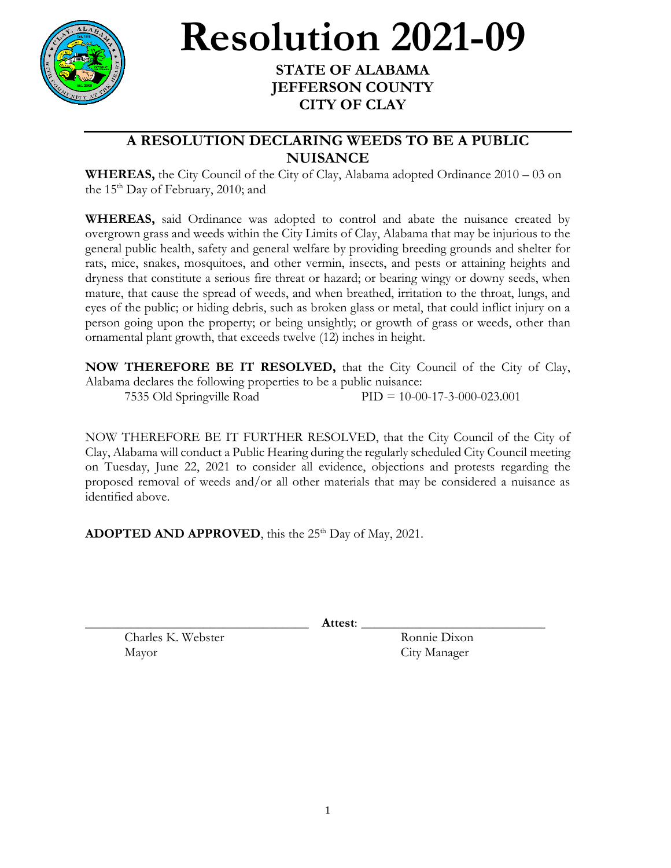

## **Resolution 2021-09**

## **STATE OF ALABAMA JEFFERSON COUNTY CITY OF CLAY**

## **A RESOLUTION DECLARING WEEDS TO BE A PUBLIC NUISANCE**

**WHEREAS,** the City Council of the City of Clay, Alabama adopted Ordinance 2010 – 03 on the  $15<sup>th</sup>$  Day of February, 2010; and

**WHEREAS,** said Ordinance was adopted to control and abate the nuisance created by overgrown grass and weeds within the City Limits of Clay, Alabama that may be injurious to the general public health, safety and general welfare by providing breeding grounds and shelter for rats, mice, snakes, mosquitoes, and other vermin, insects, and pests or attaining heights and dryness that constitute a serious fire threat or hazard; or bearing wingy or downy seeds, when mature, that cause the spread of weeds, and when breathed, irritation to the throat, lungs, and eyes of the public; or hiding debris, such as broken glass or metal, that could inflict injury on a person going upon the property; or being unsightly; or growth of grass or weeds, other than ornamental plant growth, that exceeds twelve (12) inches in height.

**NOW THEREFORE BE IT RESOLVED,** that the City Council of the City of Clay, Alabama declares the following properties to be a public nuisance:

7535 Old Springville Road PID = 10-00-17-3-000-023.001

NOW THEREFORE BE IT FURTHER RESOLVED, that the City Council of the City of Clay, Alabama will conduct a Public Hearing during the regularly scheduled City Council meeting on Tuesday, June 22, 2021 to consider all evidence, objections and protests regarding the proposed removal of weeds and/or all other materials that may be considered a nuisance as identified above.

**ADOPTED AND APPROVED**, this the 25<sup>th</sup> Day of May, 2021.

\_\_\_\_\_\_\_\_\_\_\_\_\_\_\_\_\_\_\_\_\_\_\_\_\_\_\_\_\_\_\_\_\_\_ **Attest**: \_\_\_\_\_\_\_\_\_\_\_\_\_\_\_\_\_\_\_\_\_\_\_\_\_\_\_\_

Charles K. Webster Ronnie Dixon Mayor City Manager